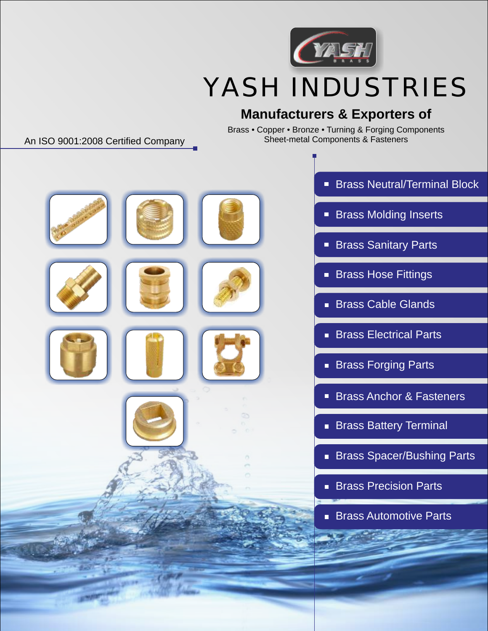

# YASH INDUSTRIES

## **Manufacturers & Exporters of**

Brass • Copper • Bronze • Turning & Forging Components Sheet-metal Components & Fasteners

### An ISO 9001:2008 Certified Company



- Brass Neutral/Terminal Block
- **Brass Molding Inserts**
- **Brass Sanitary Parts**
- **Brass Hose Fittings**
- Brass Cable Glands
- **Brass Electrical Parts**
- **Brass Forging Parts**
- Brass Anchor & Fasteners
- **Brass Battery Terminal**
- **Brass Spacer/Bushing Parts**
- **Brass Precision Parts**
- **Brass Automotive Parts**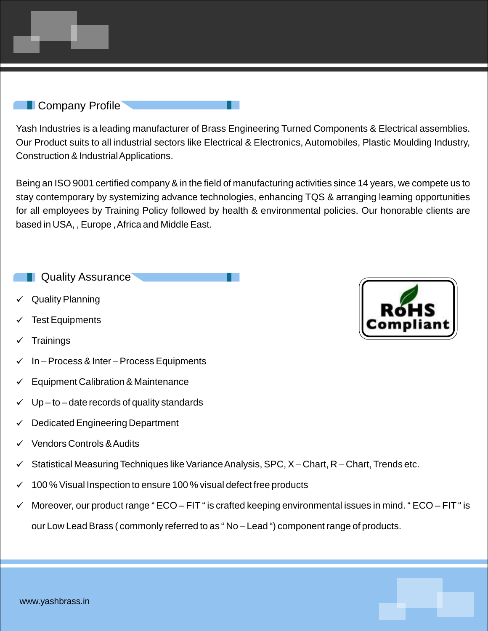#### **Company Profile**

Yash Industries is a leading manufacturer of Brass Engineering Turned Components & Electrical assemblies. Our Product suits to all industrial sectors like Electrical & Electronics, Automobiles, Plastic Moulding Industry, Construction & Industrial Applications.

Being an ISO 9001 certified company & in the field of manufacturing activities since 14 years, we compete us to stay contemporary by systemizing advance technologies, enhancing TQS & arranging learning opportunities for all employees by Training Policy followed by health & environmental policies. Our honorable clients are based in USA, , Europe , Africa and Middle East.

**Quality Assurance** 

- Quality Planning
- **Test Equipments**
- **Trainings**
- In Process & Inter Process Equipments
- Equipment Calibration & Maintenance
- $Up to date$  records of quality standards
- Dedicated Engineering Department
- ü Vendors Controls & Audits
- Statistical Measuring Techniques like Variance Analysis, SPC, X Chart, R Chart, Trends etc.
- 100 % Visual Inspection to ensure 100 % visual defect free products
- Moreover, our product range " ECO FIT " is crafted keeping environmental issues in mind. " ECO FIT " is our Low Lead Brass ( commonly referred to as " No – Lead ") component range of products.

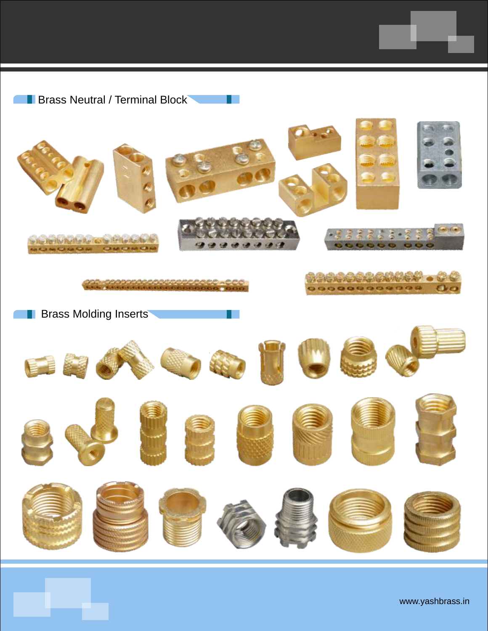**Brass Neutral / Terminal Block** 

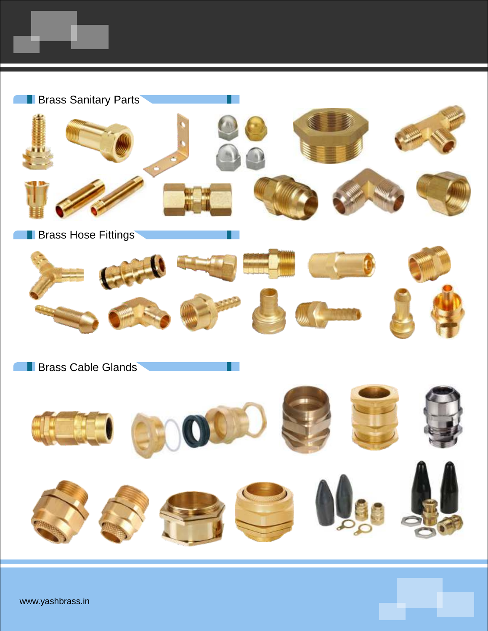

www.yashbrass.in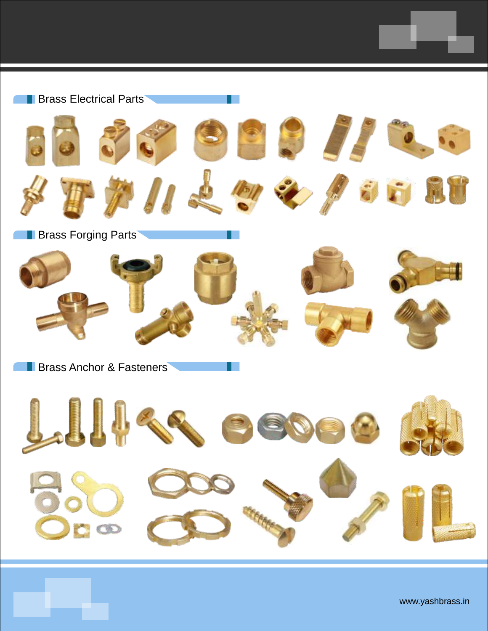

www.yashbrass.in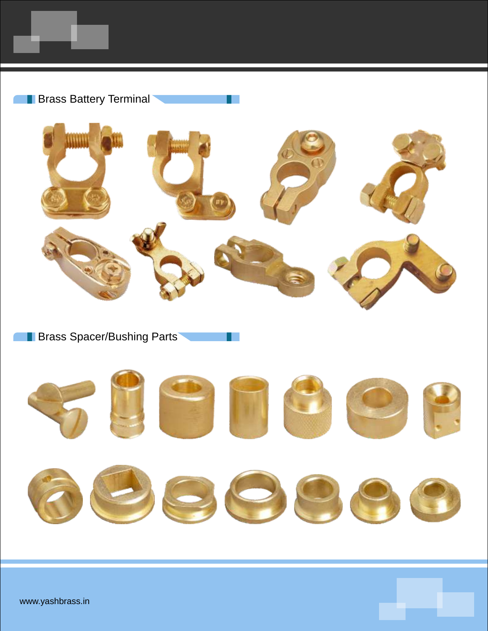



H.

**Brass Spacer/Bushing Parts** 

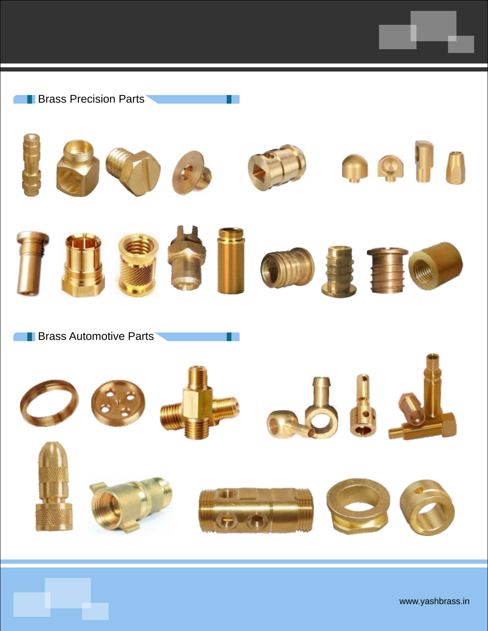



**Brass Automotive Parts**